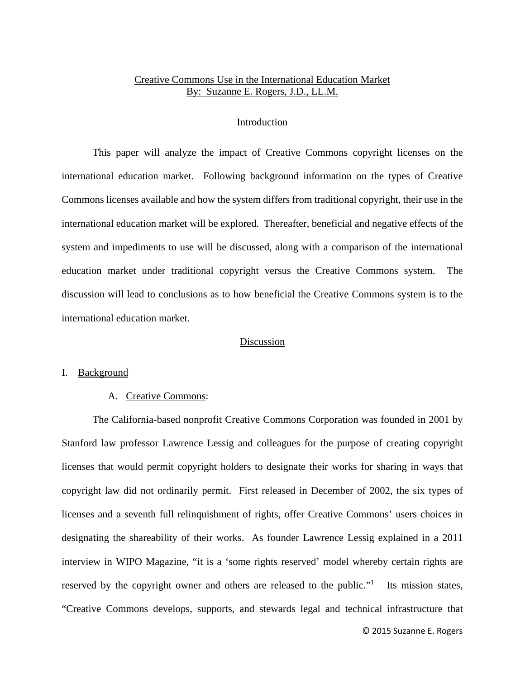# Creative Commons Use in the International Education Market By: Suzanne E. Rogers, J.D., LL.M.

#### Introduction

 This paper will analyze the impact of Creative Commons copyright licenses on the international education market. Following background information on the types of Creative Commons licenses available and how the system differs from traditional copyright, their use in the international education market will be explored. Thereafter, beneficial and negative effects of the system and impediments to use will be discussed, along with a comparison of the international education market under traditional copyright versus the Creative Commons system. The discussion will lead to conclusions as to how beneficial the Creative Commons system is to the international education market.

#### Discussion

#### I. Background

#### A. Creative Commons:

The California-based nonprofit Creative Commons Corporation was founded in 2001 by Stanford law professor Lawrence Lessig and colleagues for the purpose of creating copyright licenses that would permit copyright holders to designate their works for sharing in ways that copyright law did not ordinarily permit. First released in December of 2002, the six types of licenses and a seventh full relinquishment of rights, offer Creative Commons' users choices in designating the shareability of their works. As founder Lawrence Lessig explained in a 2011 interview in WIPO Magazine, "it is a 'some rights reserved' model whereby certain rights are reserved by the copyright owner and others are released to the public."<sup>1</sup> Its mission states, "Creative Commons develops, supports, and stewards legal and technical infrastructure that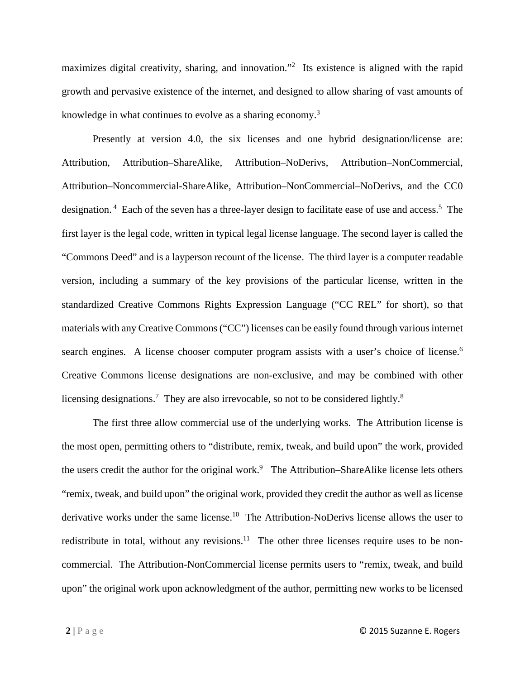maximizes digital creativity, sharing, and innovation."<sup>2</sup> Its existence is aligned with the rapid growth and pervasive existence of the internet, and designed to allow sharing of vast amounts of knowledge in what continues to evolve as a sharing economy.<sup>3</sup>

Presently at version 4.0, the six licenses and one hybrid designation/license are: Attribution, Attribution–ShareAlike, Attribution–NoDerivs, Attribution–NonCommercial, Attribution–Noncommercial-ShareAlike, Attribution–NonCommercial–NoDerivs, and the CC0 designation.<sup>4</sup> Each of the seven has a three-layer design to facilitate ease of use and access.<sup>5</sup> The first layer is the legal code, written in typical legal license language. The second layer is called the "Commons Deed" and is a layperson recount of the license. The third layer is a computer readable version, including a summary of the key provisions of the particular license, written in the standardized Creative Commons Rights Expression Language ("CC REL" for short), so that materials with any Creative Commons ("CC") licenses can be easily found through various internet search engines. A license chooser computer program assists with a user's choice of license.<sup>6</sup> Creative Commons license designations are non-exclusive, and may be combined with other licensing designations.<sup>7</sup> They are also irrevocable, so not to be considered lightly.<sup>8</sup>

The first three allow commercial use of the underlying works. The Attribution license is the most open, permitting others to "distribute, remix, tweak, and build upon" the work, provided the users credit the author for the original work.<sup>9</sup> The Attribution–ShareAlike license lets others "remix, tweak, and build upon" the original work, provided they credit the author as well as license derivative works under the same license.<sup>10</sup> The Attribution-NoDerivs license allows the user to redistribute in total, without any revisions.<sup>11</sup> The other three licenses require uses to be noncommercial. The Attribution-NonCommercial license permits users to "remix, tweak, and build upon" the original work upon acknowledgment of the author, permitting new works to be licensed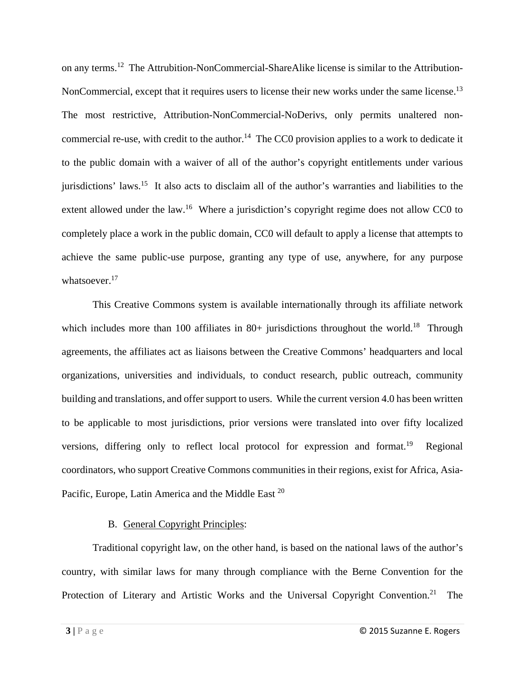on any terms.12 The Attrubition-NonCommercial-ShareAlike license is similar to the Attribution-NonCommercial, except that it requires users to license their new works under the same license.<sup>13</sup> The most restrictive, Attribution-NonCommercial-NoDerivs, only permits unaltered noncommercial re-use, with credit to the author.<sup>14</sup> The CC0 provision applies to a work to dedicate it to the public domain with a waiver of all of the author's copyright entitlements under various jurisdictions' laws.15 It also acts to disclaim all of the author's warranties and liabilities to the extent allowed under the law.<sup>16</sup> Where a jurisdiction's copyright regime does not allow CC0 to completely place a work in the public domain, CC0 will default to apply a license that attempts to achieve the same public-use purpose, granting any type of use, anywhere, for any purpose whatsoever.<sup>17</sup>

This Creative Commons system is available internationally through its affiliate network which includes more than 100 affiliates in 80+ jurisdictions throughout the world.<sup>18</sup> Through agreements, the affiliates act as liaisons between the Creative Commons' headquarters and local organizations, universities and individuals, to conduct research, public outreach, community building and translations, and offer support to users. While the current version 4.0 has been written to be applicable to most jurisdictions, prior versions were translated into over fifty localized versions, differing only to reflect local protocol for expression and format.<sup>19</sup> Regional coordinators, who support Creative Commons communities in their regions, exist for Africa, Asia-Pacific, Europe, Latin America and the Middle East <sup>20</sup>

# B. General Copyright Principles:

Traditional copyright law, on the other hand, is based on the national laws of the author's country, with similar laws for many through compliance with the Berne Convention for the Protection of Literary and Artistic Works and the Universal Copyright Convention.<sup>21</sup> The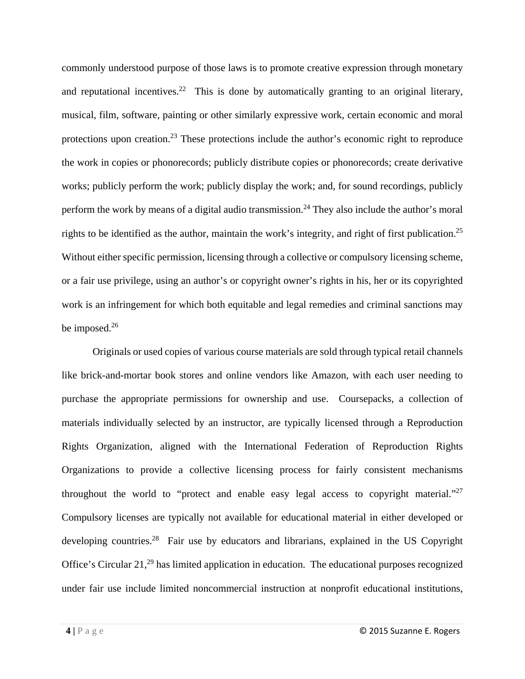commonly understood purpose of those laws is to promote creative expression through monetary and reputational incentives.<sup>22</sup> This is done by automatically granting to an original literary, musical, film, software, painting or other similarly expressive work, certain economic and moral protections upon creation.<sup>23</sup> These protections include the author's economic right to reproduce the work in copies or phonorecords; publicly distribute copies or phonorecords; create derivative works; publicly perform the work; publicly display the work; and, for sound recordings, publicly perform the work by means of a digital audio transmission.<sup>24</sup> They also include the author's moral rights to be identified as the author, maintain the work's integrity, and right of first publication.<sup>25</sup> Without either specific permission, licensing through a collective or compulsory licensing scheme, or a fair use privilege, using an author's or copyright owner's rights in his, her or its copyrighted work is an infringement for which both equitable and legal remedies and criminal sanctions may be imposed.<sup>26</sup>

Originals or used copies of various course materials are sold through typical retail channels like brick-and-mortar book stores and online vendors like Amazon, with each user needing to purchase the appropriate permissions for ownership and use. Coursepacks, a collection of materials individually selected by an instructor, are typically licensed through a Reproduction Rights Organization, aligned with the International Federation of Reproduction Rights Organizations to provide a collective licensing process for fairly consistent mechanisms throughout the world to "protect and enable easy legal access to copyright material."<sup>27</sup> Compulsory licenses are typically not available for educational material in either developed or developing countries.<sup>28</sup> Fair use by educators and librarians, explained in the US Copyright Office's Circular 21,29 has limited application in education. The educational purposes recognized under fair use include limited noncommercial instruction at nonprofit educational institutions,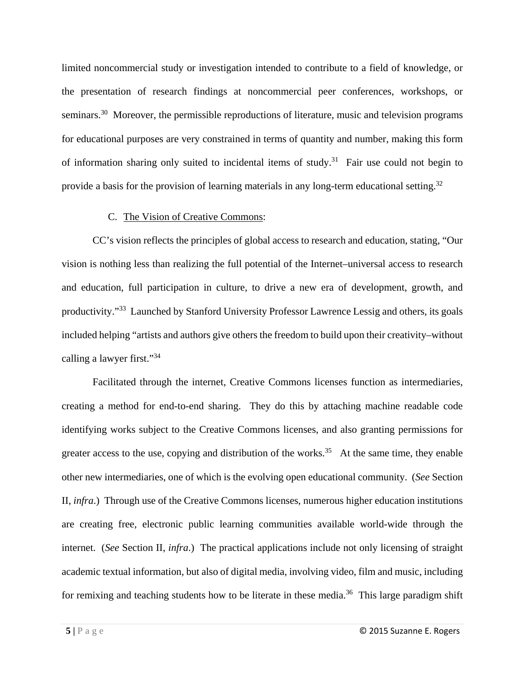limited noncommercial study or investigation intended to contribute to a field of knowledge, or the presentation of research findings at noncommercial peer conferences, workshops, or seminars.<sup>30</sup> Moreover, the permissible reproductions of literature, music and television programs for educational purposes are very constrained in terms of quantity and number, making this form of information sharing only suited to incidental items of study.<sup>31</sup> Fair use could not begin to provide a basis for the provision of learning materials in any long-term educational setting.<sup>32</sup>

# C. The Vision of Creative Commons:

CC's vision reflects the principles of global access to research and education, stating, "Our vision is nothing less than realizing the full potential of the Internet–universal access to research and education, full participation in culture, to drive a new era of development, growth, and productivity."33 Launched by Stanford University Professor Lawrence Lessig and others, its goals included helping "artists and authors give others the freedom to build upon their creativity–without calling a lawyer first."34

 Facilitated through the internet, Creative Commons licenses function as intermediaries, creating a method for end-to-end sharing. They do this by attaching machine readable code identifying works subject to the Creative Commons licenses, and also granting permissions for greater access to the use, copying and distribution of the works.<sup>35</sup> At the same time, they enable other new intermediaries, one of which is the evolving open educational community. (*See* Section II, *infra*.) Through use of the Creative Commons licenses, numerous higher education institutions are creating free, electronic public learning communities available world-wide through the internet. (*See* Section II, *infra*.) The practical applications include not only licensing of straight academic textual information, but also of digital media, involving video, film and music, including for remixing and teaching students how to be literate in these media.<sup>36</sup> This large paradigm shift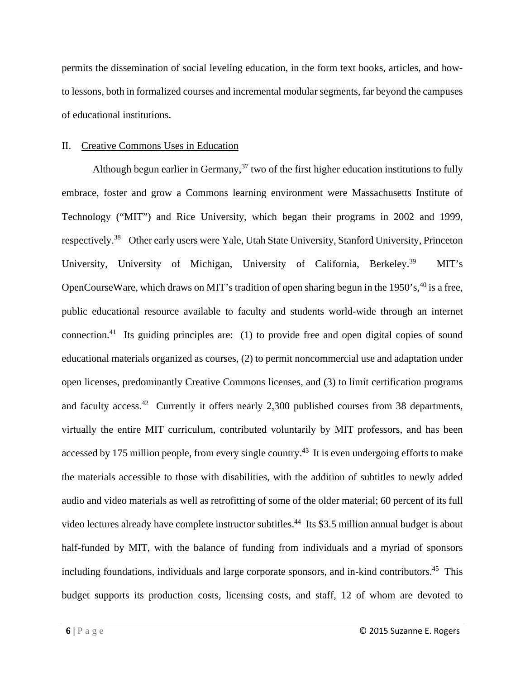permits the dissemination of social leveling education, in the form text books, articles, and howto lessons, both in formalized courses and incremental modular segments, far beyond the campuses of educational institutions.

#### II. Creative Commons Uses in Education

Although begun earlier in Germany,  $37$  two of the first higher education institutions to fully embrace, foster and grow a Commons learning environment were Massachusetts Institute of Technology ("MIT") and Rice University, which began their programs in 2002 and 1999, respectively.<sup>38</sup> Other early users were Yale, Utah State University, Stanford University, Princeton University, University of Michigan, University of California, Berkeley.<sup>39</sup> MIT's OpenCourseWare, which draws on MIT's tradition of open sharing begun in the 1950's, <sup>40</sup> is a free, public educational resource available to faculty and students world-wide through an internet connection.41 Its guiding principles are: (1) to provide free and open digital copies of sound educational materials organized as courses, (2) to permit noncommercial use and adaptation under open licenses, predominantly Creative Commons licenses, and (3) to limit certification programs and faculty access.<sup>42</sup> Currently it offers nearly 2,300 published courses from 38 departments, virtually the entire MIT curriculum, contributed voluntarily by MIT professors, and has been accessed by 175 million people, from every single country.<sup>43</sup> It is even undergoing efforts to make the materials accessible to those with disabilities, with the addition of subtitles to newly added audio and video materials as well as retrofitting of some of the older material; 60 percent of its full video lectures already have complete instructor subtitles.<sup>44</sup> Its \$3.5 million annual budget is about half-funded by MIT, with the balance of funding from individuals and a myriad of sponsors including foundations, individuals and large corporate sponsors, and in-kind contributors.<sup>45</sup> This budget supports its production costs, licensing costs, and staff, 12 of whom are devoted to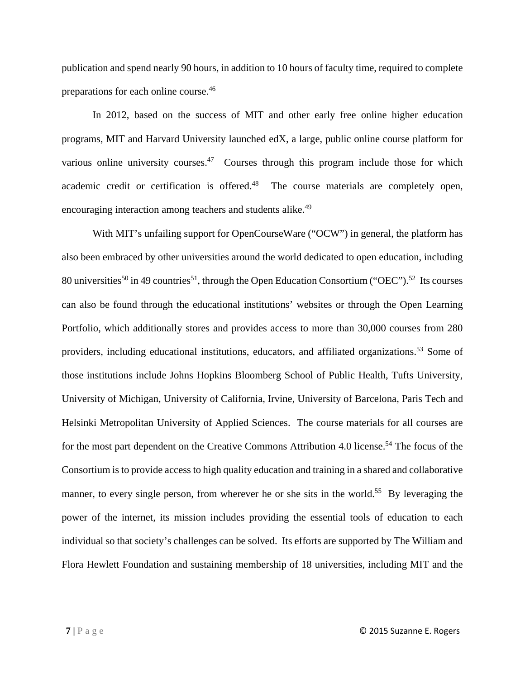publication and spend nearly 90 hours, in addition to 10 hours of faculty time, required to complete preparations for each online course.46

In 2012, based on the success of MIT and other early free online higher education programs, MIT and Harvard University launched edX, a large, public online course platform for various online university courses.<sup>47</sup> Courses through this program include those for which academic credit or certification is offered.<sup>48</sup> The course materials are completely open, encouraging interaction among teachers and students alike.<sup>49</sup>

With MIT's unfailing support for OpenCourseWare ("OCW") in general, the platform has also been embraced by other universities around the world dedicated to open education, including 80 universities<sup>50</sup> in 49 countries<sup>51</sup>, through the Open Education Consortium ("OEC").<sup>52</sup> Its courses can also be found through the educational institutions' websites or through the Open Learning Portfolio, which additionally stores and provides access to more than 30,000 courses from 280 providers, including educational institutions, educators, and affiliated organizations.<sup>53</sup> Some of those institutions include Johns Hopkins Bloomberg School of Public Health, Tufts University, University of Michigan, University of California, Irvine, University of Barcelona, Paris Tech and Helsinki Metropolitan University of Applied Sciences. The course materials for all courses are for the most part dependent on the Creative Commons Attribution 4.0 license.<sup>54</sup> The focus of the Consortium is to provide access to high quality education and training in a shared and collaborative manner, to every single person, from wherever he or she sits in the world.<sup>55</sup> By leveraging the power of the internet, its mission includes providing the essential tools of education to each individual so that society's challenges can be solved. Its efforts are supported by The William and Flora Hewlett Foundation and sustaining membership of 18 universities, including MIT and the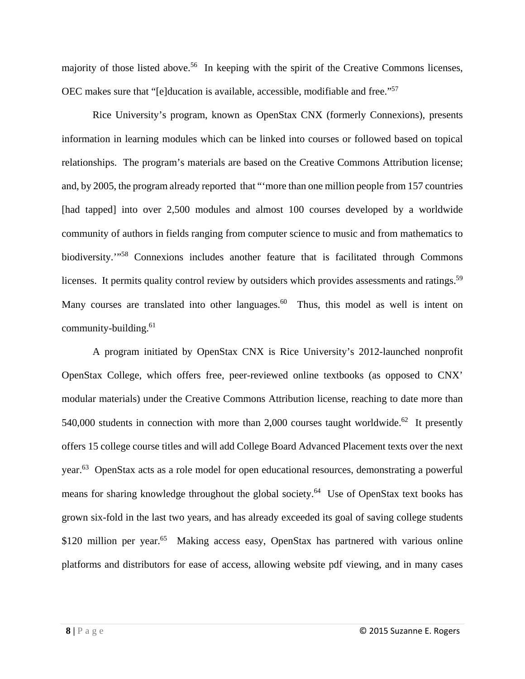majority of those listed above.<sup>56</sup> In keeping with the spirit of the Creative Commons licenses, OEC makes sure that "[e]ducation is available, accessible, modifiable and free."57

Rice University's program, known as OpenStax CNX (formerly Connexions), presents information in learning modules which can be linked into courses or followed based on topical relationships. The program's materials are based on the Creative Commons Attribution license; and, by 2005, the program already reported that "'more than one million people from 157 countries [had tapped] into over 2,500 modules and almost 100 courses developed by a worldwide community of authors in fields ranging from computer science to music and from mathematics to biodiversity."<sup>58</sup> Connexions includes another feature that is facilitated through Commons licenses. It permits quality control review by outsiders which provides assessments and ratings.<sup>59</sup> Many courses are translated into other languages.<sup>60</sup> Thus, this model as well is intent on community-building.<sup>61</sup>

A program initiated by OpenStax CNX is Rice University's 2012-launched nonprofit OpenStax College, which offers free, peer-reviewed online textbooks (as opposed to CNX' modular materials) under the Creative Commons Attribution license, reaching to date more than 540,000 students in connection with more than 2,000 courses taught worldwide.<sup>62</sup> It presently offers 15 college course titles and will add College Board Advanced Placement texts over the next year.63 OpenStax acts as a role model for open educational resources, demonstrating a powerful means for sharing knowledge throughout the global society.<sup>64</sup> Use of OpenStax text books has grown six-fold in the last two years, and has already exceeded its goal of saving college students \$120 million per year.<sup>65</sup> Making access easy, OpenStax has partnered with various online platforms and distributors for ease of access, allowing website pdf viewing, and in many cases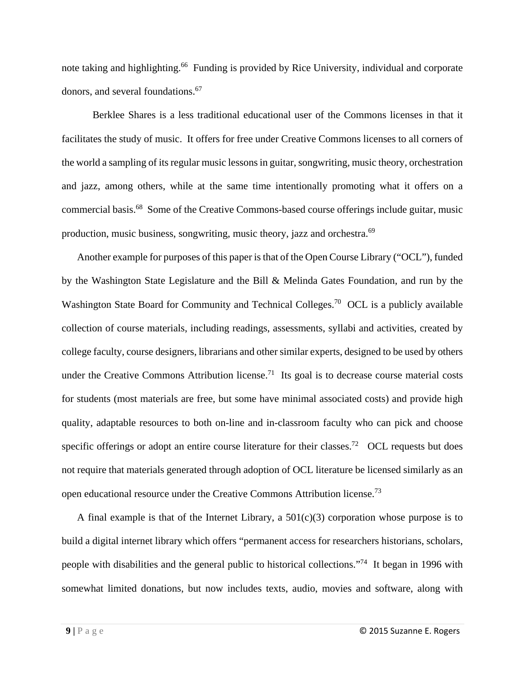note taking and highlighting.<sup>66</sup> Funding is provided by Rice University, individual and corporate donors, and several foundations.67

 Berklee Shares is a less traditional educational user of the Commons licenses in that it facilitates the study of music. It offers for free under Creative Commons licenses to all corners of the world a sampling of its regular music lessons in guitar, songwriting, music theory, orchestration and jazz, among others, while at the same time intentionally promoting what it offers on a commercial basis.68 Some of the Creative Commons-based course offerings include guitar, music production, music business, songwriting, music theory, jazz and orchestra.69

Another example for purposes of this paper is that of the Open Course Library ("OCL"), funded by the Washington State Legislature and the Bill & Melinda Gates Foundation, and run by the Washington State Board for Community and Technical Colleges.<sup>70</sup> OCL is a publicly available collection of course materials, including readings, assessments, syllabi and activities, created by college faculty, course designers, librarians and other similar experts, designed to be used by others under the Creative Commons Attribution license.<sup>71</sup> Its goal is to decrease course material costs for students (most materials are free, but some have minimal associated costs) and provide high quality, adaptable resources to both on-line and in-classroom faculty who can pick and choose specific offerings or adopt an entire course literature for their classes.<sup>72</sup> OCL requests but does not require that materials generated through adoption of OCL literature be licensed similarly as an open educational resource under the Creative Commons Attribution license.73

A final example is that of the Internet Library, a  $501(c)(3)$  corporation whose purpose is to build a digital internet library which offers "permanent access for researchers historians, scholars, people with disabilities and the general public to historical collections."74 It began in 1996 with somewhat limited donations, but now includes texts, audio, movies and software, along with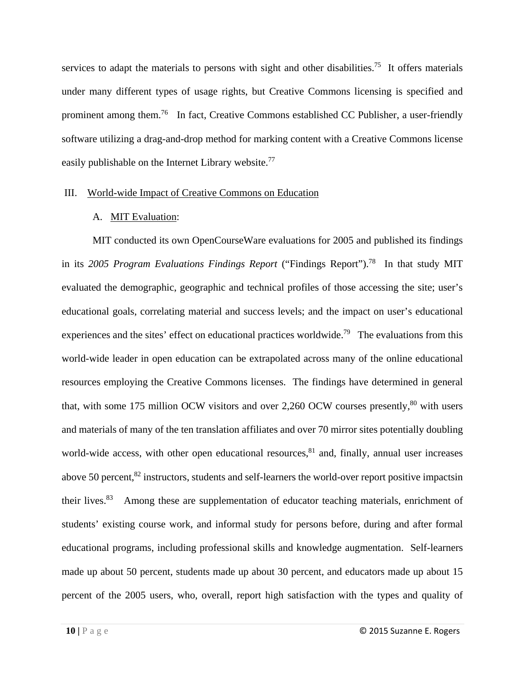services to adapt the materials to persons with sight and other disabilities.<sup>75</sup> It offers materials under many different types of usage rights, but Creative Commons licensing is specified and prominent among them.76 In fact, Creative Commons established CC Publisher, a user-friendly software utilizing a drag-and-drop method for marking content with a Creative Commons license easily publishable on the Internet Library website.<sup>77</sup>

### III. World-wide Impact of Creative Commons on Education

# A. MIT Evaluation:

MIT conducted its own OpenCourseWare evaluations for 2005 and published its findings in its *2005 Program Evaluations Findings Report* ("Findings Report").78 In that study MIT evaluated the demographic, geographic and technical profiles of those accessing the site; user's educational goals, correlating material and success levels; and the impact on user's educational experiences and the sites' effect on educational practices worldwide.<sup>79</sup> The evaluations from this world-wide leader in open education can be extrapolated across many of the online educational resources employing the Creative Commons licenses. The findings have determined in general that, with some 175 million OCW visitors and over 2,260 OCW courses presently, $80$  with users and materials of many of the ten translation affiliates and over 70 mirror sites potentially doubling world-wide access, with other open educational resources, ${}^{81}$  and, finally, annual user increases above 50 percent, ${}^{82}$  instructors, students and self-learners the world-over report positive impactsin their lives.<sup>83</sup> Among these are supplementation of educator teaching materials, enrichment of students' existing course work, and informal study for persons before, during and after formal educational programs, including professional skills and knowledge augmentation. Self-learners made up about 50 percent, students made up about 30 percent, and educators made up about 15 percent of the 2005 users, who, overall, report high satisfaction with the types and quality of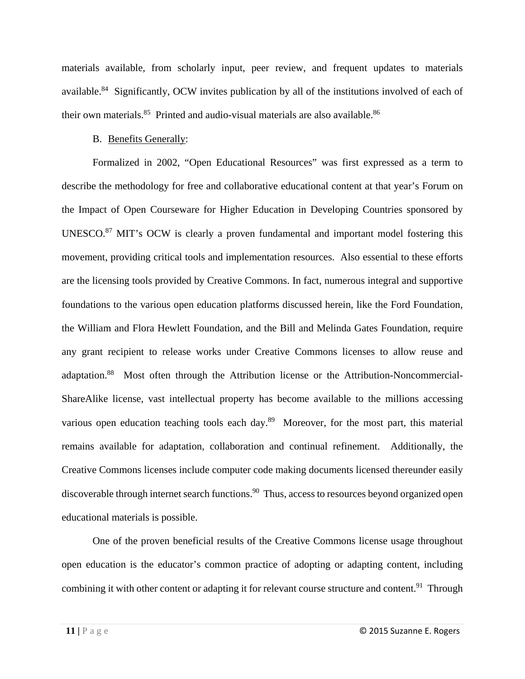materials available, from scholarly input, peer review, and frequent updates to materials available.84 Significantly, OCW invites publication by all of the institutions involved of each of their own materials.<sup>85</sup> Printed and audio-visual materials are also available.<sup>86</sup>

# B. Benefits Generally:

Formalized in 2002, "Open Educational Resources" was first expressed as a term to describe the methodology for free and collaborative educational content at that year's Forum on the Impact of Open Courseware for Higher Education in Developing Countries sponsored by UNESCO.<sup>87</sup> MIT's OCW is clearly a proven fundamental and important model fostering this movement, providing critical tools and implementation resources. Also essential to these efforts are the licensing tools provided by Creative Commons. In fact, numerous integral and supportive foundations to the various open education platforms discussed herein, like the Ford Foundation, the William and Flora Hewlett Foundation, and the Bill and Melinda Gates Foundation, require any grant recipient to release works under Creative Commons licenses to allow reuse and adaptation.88 Most often through the Attribution license or the Attribution-Noncommercial-ShareAlike license, vast intellectual property has become available to the millions accessing various open education teaching tools each day.<sup>89</sup> Moreover, for the most part, this material remains available for adaptation, collaboration and continual refinement. Additionally, the Creative Commons licenses include computer code making documents licensed thereunder easily discoverable through internet search functions.<sup>90</sup> Thus, access to resources beyond organized open educational materials is possible.

One of the proven beneficial results of the Creative Commons license usage throughout open education is the educator's common practice of adopting or adapting content, including combining it with other content or adapting it for relevant course structure and content.<sup>91</sup> Through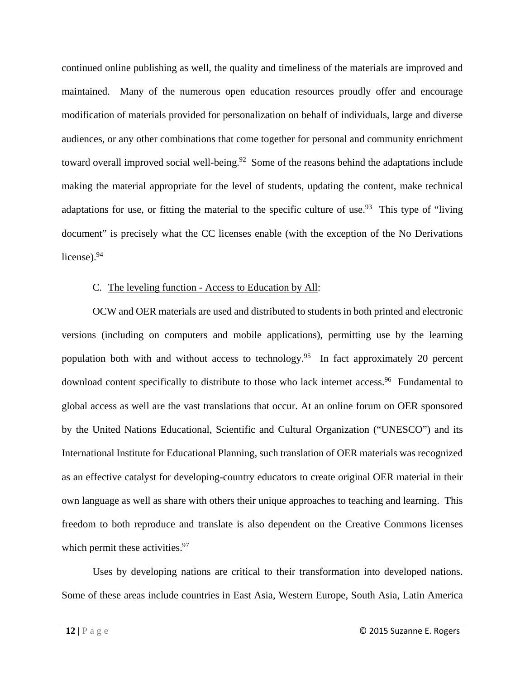continued online publishing as well, the quality and timeliness of the materials are improved and maintained. Many of the numerous open education resources proudly offer and encourage modification of materials provided for personalization on behalf of individuals, large and diverse audiences, or any other combinations that come together for personal and community enrichment toward overall improved social well-being.<sup>92</sup> Some of the reasons behind the adaptations include making the material appropriate for the level of students, updating the content, make technical adaptations for use, or fitting the material to the specific culture of use.<sup>93</sup> This type of "living" document" is precisely what the CC licenses enable (with the exception of the No Derivations license).<sup>94</sup>

# C. The leveling function - Access to Education by All:

OCW and OER materials are used and distributed to students in both printed and electronic versions (including on computers and mobile applications), permitting use by the learning population both with and without access to technology.<sup>95</sup> In fact approximately 20 percent download content specifically to distribute to those who lack internet access.<sup>96</sup> Fundamental to global access as well are the vast translations that occur. At an online forum on OER sponsored by the United Nations Educational, Scientific and Cultural Organization ("UNESCO") and its International Institute for Educational Planning, such translation of OER materials was recognized as an effective catalyst for developing-country educators to create original OER material in their own language as well as share with others their unique approaches to teaching and learning. This freedom to both reproduce and translate is also dependent on the Creative Commons licenses which permit these activities.<sup>97</sup>

Uses by developing nations are critical to their transformation into developed nations. Some of these areas include countries in East Asia, Western Europe, South Asia, Latin America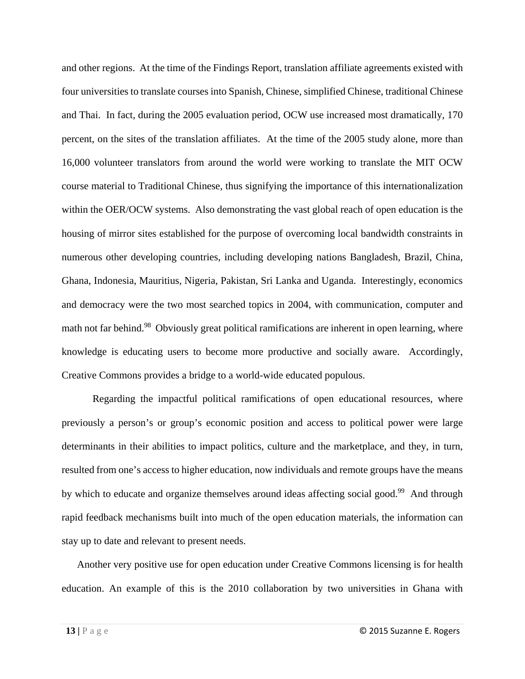and other regions. At the time of the Findings Report, translation affiliate agreements existed with four universities to translate courses into Spanish, Chinese, simplified Chinese, traditional Chinese and Thai. In fact, during the 2005 evaluation period, OCW use increased most dramatically, 170 percent, on the sites of the translation affiliates. At the time of the 2005 study alone, more than 16,000 volunteer translators from around the world were working to translate the MIT OCW course material to Traditional Chinese, thus signifying the importance of this internationalization within the OER/OCW systems. Also demonstrating the vast global reach of open education is the housing of mirror sites established for the purpose of overcoming local bandwidth constraints in numerous other developing countries, including developing nations Bangladesh, Brazil, China, Ghana, Indonesia, Mauritius, Nigeria, Pakistan, Sri Lanka and Uganda. Interestingly, economics and democracy were the two most searched topics in 2004, with communication, computer and math not far behind.<sup>98</sup> Obviously great political ramifications are inherent in open learning, where knowledge is educating users to become more productive and socially aware. Accordingly, Creative Commons provides a bridge to a world-wide educated populous.

 Regarding the impactful political ramifications of open educational resources, where previously a person's or group's economic position and access to political power were large determinants in their abilities to impact politics, culture and the marketplace, and they, in turn, resulted from one's access to higher education, now individuals and remote groups have the means by which to educate and organize themselves around ideas affecting social good.<sup>99</sup> And through rapid feedback mechanisms built into much of the open education materials, the information can stay up to date and relevant to present needs.

Another very positive use for open education under Creative Commons licensing is for health education. An example of this is the 2010 collaboration by two universities in Ghana with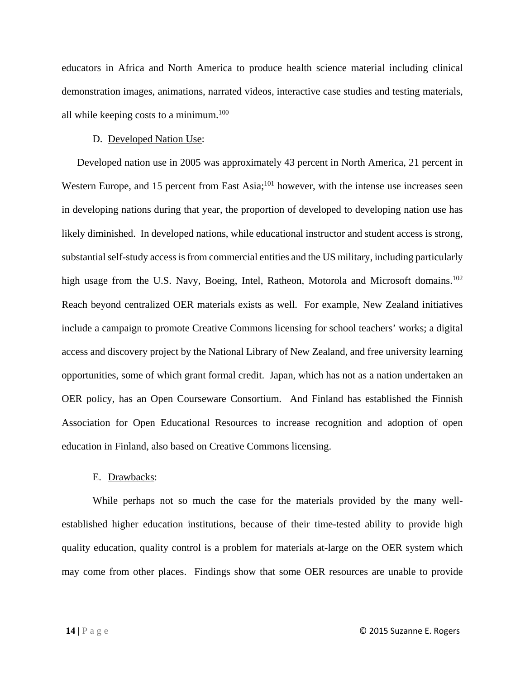educators in Africa and North America to produce health science material including clinical demonstration images, animations, narrated videos, interactive case studies and testing materials, all while keeping costs to a minimum.<sup>100</sup>

# D. Developed Nation Use:

Developed nation use in 2005 was approximately 43 percent in North America, 21 percent in Western Europe, and 15 percent from East Asia;<sup>101</sup> however, with the intense use increases seen in developing nations during that year, the proportion of developed to developing nation use has likely diminished. In developed nations, while educational instructor and student access is strong, substantial self-study access is from commercial entities and the US military, including particularly high usage from the U.S. Navy, Boeing, Intel, Ratheon, Motorola and Microsoft domains.<sup>102</sup> Reach beyond centralized OER materials exists as well. For example, New Zealand initiatives include a campaign to promote Creative Commons licensing for school teachers' works; a digital access and discovery project by the National Library of New Zealand, and free university learning opportunities, some of which grant formal credit. Japan, which has not as a nation undertaken an OER policy, has an Open Courseware Consortium. And Finland has established the Finnish Association for Open Educational Resources to increase recognition and adoption of open education in Finland, also based on Creative Commons licensing.

# E. Drawbacks:

While perhaps not so much the case for the materials provided by the many wellestablished higher education institutions, because of their time-tested ability to provide high quality education, quality control is a problem for materials at-large on the OER system which may come from other places. Findings show that some OER resources are unable to provide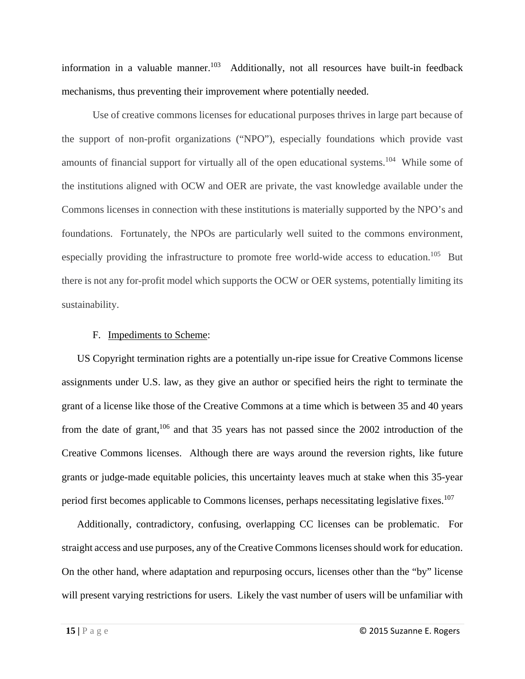information in a valuable manner.<sup>103</sup> Additionally, not all resources have built-in feedback mechanisms, thus preventing their improvement where potentially needed.

Use of creative commons licenses for educational purposes thrives in large part because of the support of non-profit organizations ("NPO"), especially foundations which provide vast amounts of financial support for virtually all of the open educational systems.104 While some of the institutions aligned with OCW and OER are private, the vast knowledge available under the Commons licenses in connection with these institutions is materially supported by the NPO's and foundations. Fortunately, the NPOs are particularly well suited to the commons environment, especially providing the infrastructure to promote free world-wide access to education.<sup>105</sup> But there is not any for-profit model which supports the OCW or OER systems, potentially limiting its sustainability.

#### F. Impediments to Scheme:

US Copyright termination rights are a potentially un-ripe issue for Creative Commons license assignments under U.S. law, as they give an author or specified heirs the right to terminate the grant of a license like those of the Creative Commons at a time which is between 35 and 40 years from the date of grant,<sup>106</sup> and that 35 years has not passed since the 2002 introduction of the Creative Commons licenses. Although there are ways around the reversion rights, like future grants or judge-made equitable policies, this uncertainty leaves much at stake when this 35-year period first becomes applicable to Commons licenses, perhaps necessitating legislative fixes.<sup>107</sup>

Additionally, contradictory, confusing, overlapping CC licenses can be problematic. For straight access and use purposes, any of the Creative Commons licenses should work for education. On the other hand, where adaptation and repurposing occurs, licenses other than the "by" license will present varying restrictions for users. Likely the vast number of users will be unfamiliar with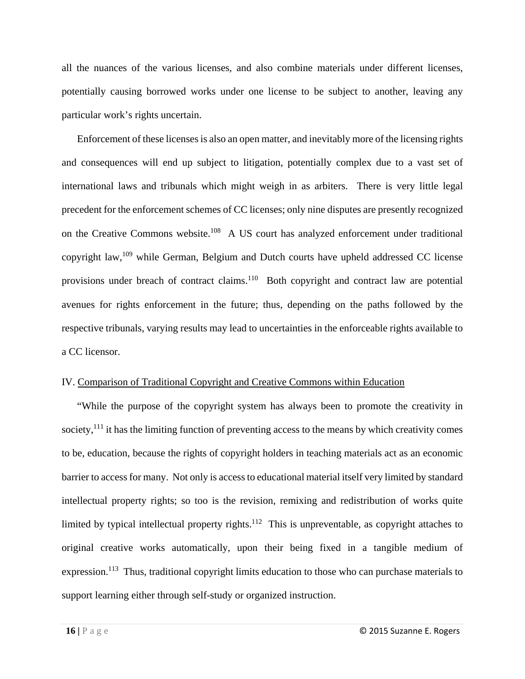all the nuances of the various licenses, and also combine materials under different licenses, potentially causing borrowed works under one license to be subject to another, leaving any particular work's rights uncertain.

Enforcement of these licenses is also an open matter, and inevitably more of the licensing rights and consequences will end up subject to litigation, potentially complex due to a vast set of international laws and tribunals which might weigh in as arbiters. There is very little legal precedent for the enforcement schemes of CC licenses; only nine disputes are presently recognized on the Creative Commons website.<sup>108</sup> A US court has analyzed enforcement under traditional copyright law,109 while German, Belgium and Dutch courts have upheld addressed CC license provisions under breach of contract claims.<sup>110</sup> Both copyright and contract law are potential avenues for rights enforcement in the future; thus, depending on the paths followed by the respective tribunals, varying results may lead to uncertainties in the enforceable rights available to a CC licensor.

### IV. Comparison of Traditional Copyright and Creative Commons within Education

"While the purpose of the copyright system has always been to promote the creativity in society, $1^{11}$  it has the limiting function of preventing access to the means by which creativity comes to be, education, because the rights of copyright holders in teaching materials act as an economic barrier to access for many. Not only is access to educational material itself very limited by standard intellectual property rights; so too is the revision, remixing and redistribution of works quite limited by typical intellectual property rights.<sup>112</sup> This is unpreventable, as copyright attaches to original creative works automatically, upon their being fixed in a tangible medium of expression.<sup>113</sup> Thus, traditional copyright limits education to those who can purchase materials to support learning either through self-study or organized instruction.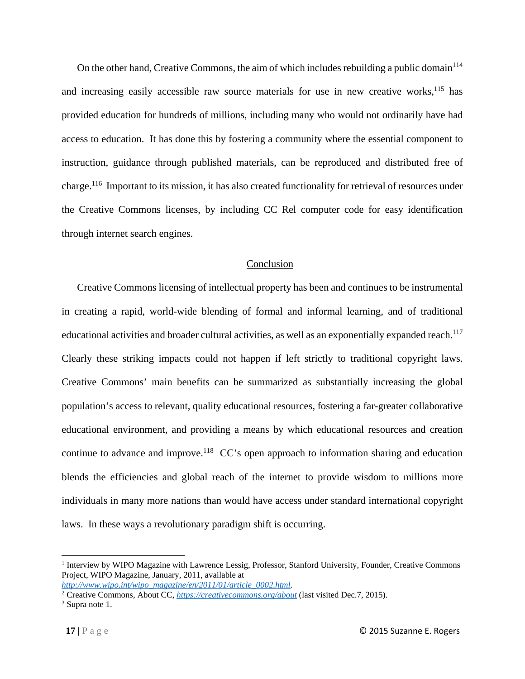On the other hand, Creative Commons, the aim of which includes rebuilding a public domain<sup>114</sup> and increasing easily accessible raw source materials for use in new creative works, $115$  has provided education for hundreds of millions, including many who would not ordinarily have had access to education. It has done this by fostering a community where the essential component to instruction, guidance through published materials, can be reproduced and distributed free of charge.116 Important to its mission, it has also created functionality for retrieval of resources under the Creative Commons licenses, by including CC Rel computer code for easy identification through internet search engines.

# Conclusion

Creative Commons licensing of intellectual property has been and continues to be instrumental in creating a rapid, world-wide blending of formal and informal learning, and of traditional educational activities and broader cultural activities, as well as an exponentially expanded reach.<sup>117</sup> Clearly these striking impacts could not happen if left strictly to traditional copyright laws. Creative Commons' main benefits can be summarized as substantially increasing the global population's access to relevant, quality educational resources, fostering a far-greater collaborative educational environment, and providing a means by which educational resources and creation continue to advance and improve.<sup>118</sup> CC's open approach to information sharing and education blends the efficiencies and global reach of the internet to provide wisdom to millions more individuals in many more nations than would have access under standard international copyright laws. In these ways a revolutionary paradigm shift is occurring.

<sup>&</sup>lt;sup>1</sup> Interview by WIPO Magazine with Lawrence Lessig, Professor, Stanford University, Founder, Creative Commons Project, WIPO Magazine, January, 2011, available at

*http://www.wipo.int/wipo\_magazine/en/2011/01/article\_0002.html.* 2

<sup>&</sup>lt;sup>2</sup> Creative Commons, About CC, *https://creativecommons.org/about* (last visited Dec.7, 2015). <sup>3</sup> Sunta note 1

<sup>&</sup>lt;sup>3</sup> Supra note 1.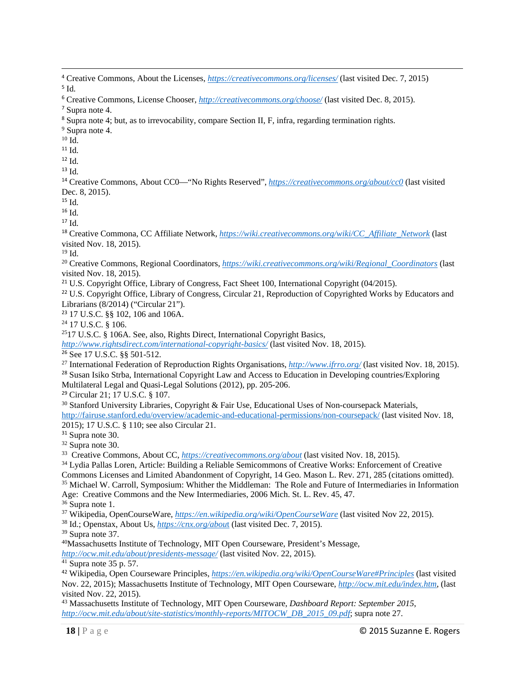<u> 1989 - Johann Stoff, amerikansk politiker (d. 1989)</u> <sup>4</sup> Creative Commons, About the Licenses, *https://creativecommons.org/licenses/* (last visited Dec. 7, 2015)  $5$  Id.

<sup>6</sup> Creative Commons, License Chooser, *http://creativecommons.org/choose/* (last visited Dec. 8, 2015).

<sup>7</sup> Supra note 4.

<sup>8</sup> Supra note 4; but, as to irrevocability, compare Section II, F, infra, regarding termination rights. 9

<sup>9</sup> Supra note 4.

 $^{10}$  Id.

<sup>11</sup> Id.

 $12$  Id.

<sup>13</sup> Id.

<sup>14</sup> Creative Commons, About CC0—"No Rights Reserved", *https://creativecommons.org/about/cc0* (last visited Dec. 8, 2015).

 $15$  Id.

 $16$  Id.

<sup>17</sup> Id.

<sup>18</sup> Creative Commona, CC Affiliate Network, *https://wiki.creativecommons.org/wiki/CC\_Affiliate\_Network* (last visited Nov. 18, 2015).

19 Id.

20 Creative Commons, Regional Coordinators, *https://wiki.creativecommons.org/wiki/Regional\_Coordinators* (last visited Nov. 18, 2015).

<sup>21</sup> U.S. Copyright Office, Library of Congress, Fact Sheet 100, International Copyright (04/2015).

<sup>22</sup> U.S. Copyright Office, Library of Congress, Circular 21, Reproduction of Copyrighted Works by Educators and Librarians (8/2014) ("Circular 21").

<sup>23</sup> 17 U.S.C. §§ 102, 106 and 106A.

24 17 U.S.C. § 106.

2517 U.S.C. § 106A. See, also, Rights Direct, International Copyright Basics,

*http://www.rightsdirect.com/international-copyright-basics/* (last visited Nov. 18, 2015).

<sup>26</sup> See 17 U.S.C. §§ 501-512. 27 International Federation of Reproduction Rights Organisations, *http://www.ifrro.org/* (last visited Nov. 18, 2015). <sup>28</sup> Susan Isiko Strba, International Copyright Law and Access to Education in Developing countries/Exploring Multilateral Legal and Quasi-Legal Solutions (2012), pp. 205-206.

<sup>29</sup> Circular 21; 17 U.S.C. § 107.<br><sup>30</sup> Stanford University Libraries, Copyright & Fair Use, Educational Uses of Non-coursepack Materials, http://fairuse.stanford.edu/overview/academic-and-educational-permissions/non-coursepack/ (last visited Nov. 18, 2015); 17 U.S.C. § 110; see also Circular 21.

<sup>31</sup> Supra note 30.

 $32$  Supra note 30.<br>33 Creative Commons, About CC, *https://creativecommons.org/about* (last visited Nov. 18, 2015).

<sup>34</sup> Lydia Pallas Loren, Article: Building a Reliable Semicommons of Creative Works: Enforcement of Creative Commons Licenses and Limited Abandonment of Copyright, 14 Geo. Mason L. Rev. 271, 285 (citations omitted).

<sup>35</sup> Michael W. Carroll, Symposium: Whither the Middleman: The Role and Future of Intermediaries in Information Age: Creative Commons and the New Intermediaries, 2006 Mich. St. L. Rev. 45, 47.

 $36$  Supra note 1.

37 Wikipedia, OpenCourseWare, *https://en.wikipedia.org/wiki/OpenCourseWare* (last visited Nov 22, 2015). 38 Id.; Openstax, About Us, *https://cnx.org/abou*t (last visited Dec. 7, 2015).

39 Supra note 37.

40Massachusetts Institute of Technology, MIT Open Courseware, President's Message,

*http://ocw.mit.edu/about/presidents-message/* (last visited Nov. 22, 2015). 41 Supra note 35 p. 57.

<sup>42</sup> Wikipedia, Open Courseware Principles, *https://en.wikipedia.org/wiki/OpenCourseWare#Principles* (last visited Nov. 22, 2015); Massachusetts Institute of Technology, MIT Open Courseware, *http://ocw.mit.edu/index.htm*, (last visited Nov. 22, 2015).

43 Massachusetts Institute of Technology, MIT Open Courseware, *Dashboard Report: September 2015*, *http://ocw.mit.edu/about/site-statistics/monthly-reports/MITOCW\_DB\_2015\_09.pdf*; supra note 27.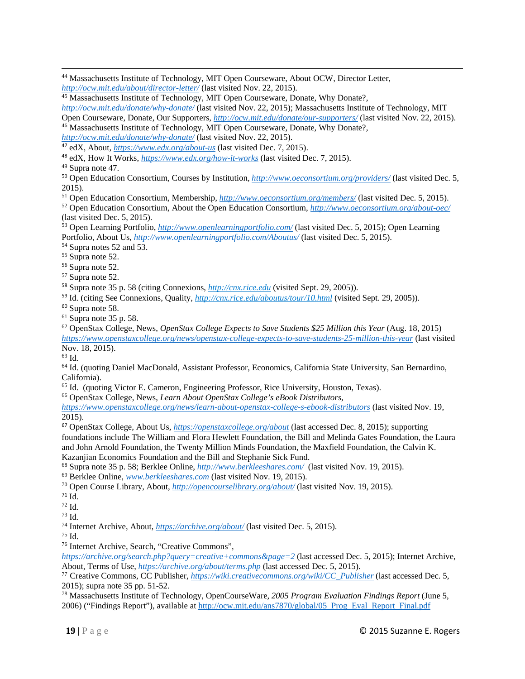<sup>44</sup> Massachusetts Institute of Technology, MIT Open Courseware, About OCW, Director Letter,  $http://ocw.mit.edu/about/director-letter/$  (last visited Nov. 22, 2015).

<sup>45</sup> Massachusetts Institute of Technology, MIT Open Courseware, Donate, Why Donate?, *http://ocw.mit.edu/donate/why-donate/* (last visited Nov. 22, 2015); Massachusetts Institute of Technology, MIT<br>Open Courseware, Donate, Our Supporters, *http://ocw.mit.edu/donate/our-supporters/* (last visited Nov. 22, 2

<u> 1989 - Johann Stoff, amerikansk politiker (d. 1989)</u>

<sup>46</sup> Massachusetts Institute of Technology, MIT Open Courseware, Donate, Why Donate?, *http://ocw.mit.edu/donate/why-donate/* (last visited Nov. 22, 2015).

<sup>47</sup> edX, About, *https://www.edx.org/about-us* (last visited Dec. 7, 2015).

<sup>48</sup> edX, How It Works, *https://www.edx.org/how-it-works* (last visited Dec. 7, 2015).

49 Supra note 47.

50 Open Education Consortium, Courses by Institution, *http://www.oeconsortium.org/providers/* (last visited Dec. 5, 2015).<br><sup>51</sup> Open Education Consortium, Membership, *http://www.oeconsortium.org/members/* (last visited Dec. 5, 2015).

<sup>52</sup> Open Education Consortium, About the Open Education Consortium,  $http://www.oeconsortium.org/about-oec/$ (last visited Dec. 5, 2015).

53 Open Learning Portfolio, *http://www.openlearningportfolio.com/* (last visited Dec. 5, 2015); Open Learning Portfolio, About Us, *http://www.openlearningportfolio.com/Aboutus/* (last visited Dec. 5, 2015).<sup>54</sup> Supra notes 52 and 53.

55 Supra note 52.

 $56$  Supra note 52.<br> $57$  Supra note 52.

<sup>58</sup> Supra note 35 p. 58 (citing Connexions, *http://cnx.rice.edu* (visited Sept. 29, 2005)).

<sup>59</sup> Id. (citing See Connexions, Quality, *http://cnx.rice.edu/aboutus/tour/10.html* (visited Sept. 29, 2005)).

<sup>60</sup> Supra note 58.

 $61$  Supra note 35 p. 58.

62 OpenStax College, News, *OpenStax College Expects to Save Students \$25 Million this Year* (Aug. 18, 2015) *https://www.openstaxcollege.org/news/openstax-college-expects-to-save-students-25-million-this-year* (last visited Nov. 18, 2015).

63 Id.

64 Id. (quoting Daniel MacDonald, Assistant Professor, Economics, California State University, San Bernardino, California).

65 Id. (quoting Victor E. Cameron, Engineering Professor, Rice University, Houston, Texas).

66 OpenStax College, News, *Learn About OpenStax College's eBook Distributors*,

*https://www.openstaxcollege.org/news/learn-about-openstax-college-s-ebook-distributors* (last visited Nov. 19, 2015).

<sup>67</sup> OpenStax College, About Us, *https://openstaxcollege.org/about* (last accessed Dec. 8, 2015); supporting foundations include The William and Flora Hewlett Foundation, the Bill and Melinda Gates Foundation, the Laura and John Arnold Foundation, the Twenty Million Minds Foundation, the Maxfield Foundation, the Calvin K. Kazanjian Economics Foundation and the Bill and Stephanie Sick Fund.

<sup>68</sup> Supra note 35 p. 58; Berklee Online, *http://www.berkleeshares.com/* (last visited Nov. 19, 2015).<br><sup>69</sup> Berklee Online, *www.berkleeshares.com* (last visited Nov. 19, 2015).<br><sup>70</sup> Open Course Library, About, *http://o* 

 $^{71}$  Id.<br> $^{72}$  Id.

73 Id.

74 Internet Archive, About, *https://archive.org/about/* (last visited Dec. 5, 2015). 75 Id.

76 Internet Archive, Search, "Creative Commons",

*https://archive.org/search.php?query=creative+commons&page=2* (last accessed Dec. 5, 2015); Internet Archive,

<sup>77</sup> Creative Commons, CC Publisher, *https://wiki.creativecommons.org/wiki/CC\_Publisher* (last accessed Dec. 5, 2015); supra note 35 pp. 51-52.

78 Massachusetts Institute of Technology, OpenCourseWare, *2005 Program Evaluation Findings Report* (June 5, 2006) ("Findings Report"), available at http://ocw.mit.edu/ans7870/global/05\_Prog\_Eval\_Report\_Final.pdf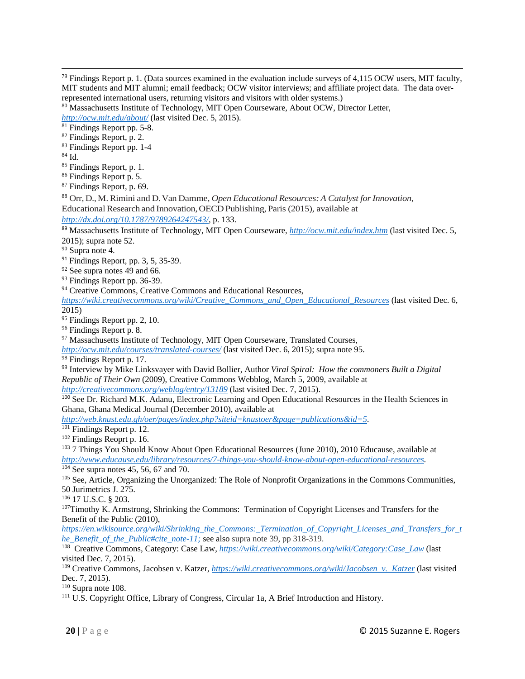<u> 1989 - Johann Stoff, amerikansk politiker (d. 1989)</u>

- 83 Findings Report pp. 1-4
- 84 Id.
- 85 Findings Report, p. 1.
- 86 Findings Report p. 5.
- 87 Findings Report, p. 69.

<sup>88</sup> Orr, D., M. Rimini and D. Van Damme, *Open Educational Resources: A Catalyst for Innovation,*  Educational Research and Innovation, OECD Publishing, Paris (2015), available at

*http://dx.doi.org/10.1787/9789264247543/*, p. 133.

<sup>89</sup> Massachusetts Institute of Technology, MIT Open Courseware, *http://ocw.mit.edu/index.htm* (last visited Dec. 5, 2015); supra note 52.

- 90 Supra note 4.
- <sup>91</sup> Findings Report, pp. 3, 5, 35-39.
- 92 See supra notes 49 and 66.
- <sup>93</sup> Findings Report pp. 36-39.
- <sup>94</sup> Creative Commons, Creative Commons and Educational Resources,

*https://wiki.creativecommons.org/wiki/Creative\_Commons\_and\_Open\_Educational\_Resources* (last visited Dec. 6, 2015)

- 95 Findings Report pp. 2, 10.
- 96 Findings Report p. 8.

<sup>97</sup> Massachusetts Institute of Technology, MIT Open Courseware, Translated Courses,

*http://ocw.mit.edu/courses/translated-courses/* (last visited Dec. 6, 2015); supra note 95.

<sup>98</sup> Findings Report p. 17.

99 Interview by Mike Linksvayer with David Bollier, Author *Viral Spiral: How the commoners Built a Digital Republic of Their Own* (2009), Creative Commons Webblog, March 5, 2009, available at

*http://creativecommons.org/weblog/entry/13189* (last visited Dec. 7, 2015).

<sup>100</sup> See Dr. Richard M.K. Adanu, Electronic Learning and Open Educational Resources in the Health Sciences in Ghana, Ghana Medical Journal (December 2010), available at

*http://web.knust.edu.gh/oer/pages/index.php?siteid=knustoer&page=publications&id=5.* 

<sup>101</sup> Findings Report p. 12.

<sup>102</sup> Findings Reoprt p. 16.<br><sup>103</sup> 7 Things You Should Know About Open Educational Resources (June 2010), 2010 Educause, available at *http://www.educause.edu/library/resources/7-things-you-should-know-about-open-educational-resources.* 

<sup>104</sup> See supra notes 45, 56, 67 and 70.<br><sup>105</sup> See, Article, Organizing the Unorganized: The Role of Nonprofit Organizations in the Commons Communities, 50 Jurimetrics J. 275.

<sup>106</sup> 17 U.S.C. § 203.<br><sup>107</sup>Timothy K. Armstrong, Shrinking the Commons: Termination of Copyright Licenses and Transfers for the Benefit of the Public (2010),

*https://en.wikisource.org/wiki/Shrinking\_the\_Commons:\_Termination\_of\_Copyright\_Licenses\_and\_Transfers\_for\_t he\_Benefit\_of\_the\_Public#cite\_note-11;* see also supra note 39, pp 318-319.

108 Creative Commons, Category: Case Law, *https://wiki.creativecommons.org/wiki/Category:Case\_Law* (last visited Dec. 7, 2015).

109 Creative Commons, Jacobsen v. Katzer, *https://wiki.creativecommons.org/wiki/Jacobsen\_v.\_Katzer* (last visited Dec. 7, 2015).

<sup>110</sup> Supra note 108.<br><sup>111</sup> U.S. Copyright Office, Library of Congress, Circular 1a, A Brief Introduction and History.

 $79$  Findings Report p. 1. (Data sources examined in the evaluation include surveys of 4,115 OCW users, MIT faculty, MIT students and MIT alumni; email feedback; OCW visitor interviews; and affiliate project data. The data over-

represented international users, returning visitors and visitors with older systems.)<br><sup>80</sup> Massachusetts Institute of Technology, MIT Open Courseware, About OCW, Director Letter, *http://ocw.mit.edu/about/* (last visited Dec. 5, 2015).<br><sup>81</sup> Findings Report pp. 5-8.

<sup>82</sup> Findings Report, p. 2.